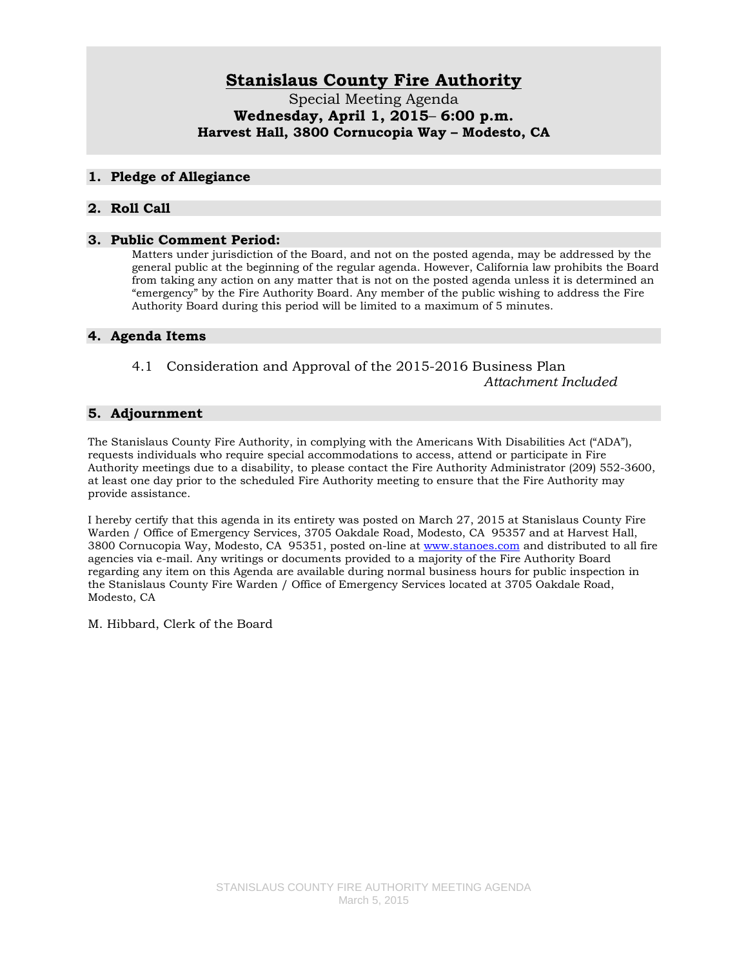# **Stanislaus County Fire Authority**

Special Meeting Agenda **Wednesday, April 1, 2015**– **6:00 p.m. Harvest Hall, 3800 Cornucopia Way – Modesto, CA**

#### **1. Pledge of Allegiance**

#### **2. Roll Call**

#### **3. Public Comment Period:**

Matters under jurisdiction of the Board, and not on the posted agenda, may be addressed by the general public at the beginning of the regular agenda. However, California law prohibits the Board from taking any action on any matter that is not on the posted agenda unless it is determined an "emergency" by the Fire Authority Board. Any member of the public wishing to address the Fire Authority Board during this period will be limited to a maximum of 5 minutes.

#### **4. Agenda Items**

4.1 Consideration and Approval of the 2015-2016 Business Plan *Attachment Included*

#### **5. Adjournment**

The Stanislaus County Fire Authority, in complying with the Americans With Disabilities Act ("ADA"), requests individuals who require special accommodations to access, attend or participate in Fire Authority meetings due to a disability, to please contact the Fire Authority Administrator (209) 552-3600, at least one day prior to the scheduled Fire Authority meeting to ensure that the Fire Authority may provide assistance.

I hereby certify that this agenda in its entirety was posted on March 27, 2015 at Stanislaus County Fire Warden / Office of Emergency Services, 3705 Oakdale Road, Modesto, CA 95357 and at Harvest Hall, 3800 Cornucopia Way, Modesto, CA 95351, posted on-line at [www.stanoes.com](http://www.stanoes.com/) and distributed to all fire agencies via e-mail. Any writings or documents provided to a majority of the Fire Authority Board regarding any item on this Agenda are available during normal business hours for public inspection in the Stanislaus County Fire Warden / Office of Emergency Services located at 3705 Oakdale Road, Modesto, CA

M. Hibbard, Clerk of the Board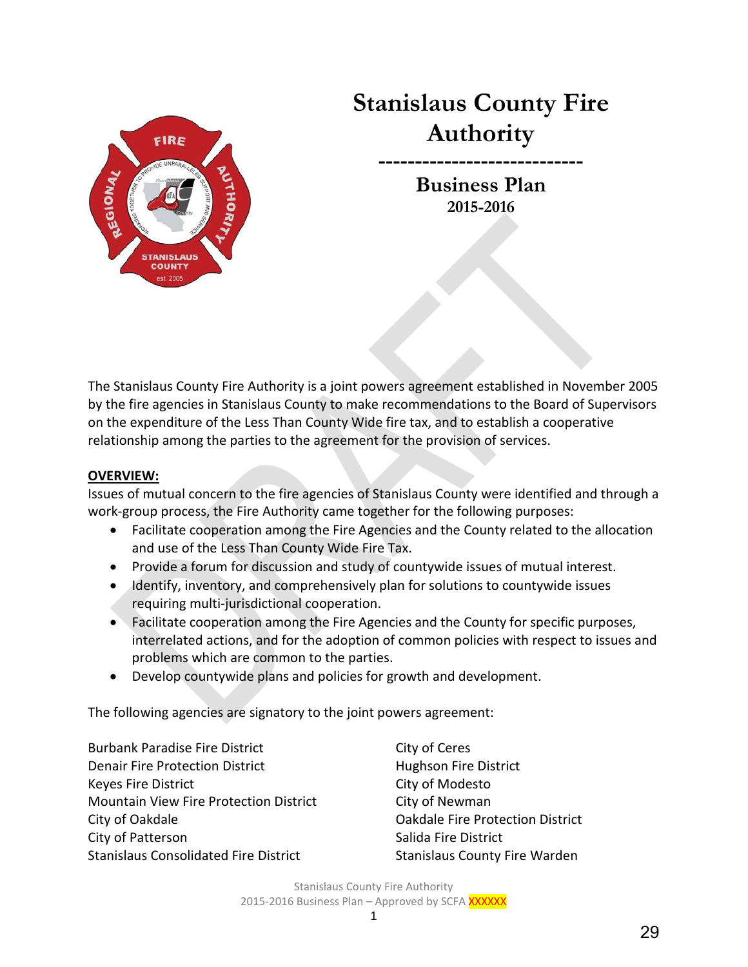

# **Stanislaus County Fire Authority**

**----------------------------** 

**Business Plan 2015-2016**

The Stanislaus County Fire Authority is a joint powers agreement established in November 2005 by the fire agencies in Stanislaus County to make recommendations to the Board of Supervisors on the expenditure of the Less Than County Wide fire tax, and to establish a cooperative relationship among the parties to the agreement for the provision of services.

## **OVERVIEW:**

Issues of mutual concern to the fire agencies of Stanislaus County were identified and through a work-group process, the Fire Authority came together for the following purposes:

- Facilitate cooperation among the Fire Agencies and the County related to the allocation and use of the Less Than County Wide Fire Tax.
- Provide a forum for discussion and study of countywide issues of mutual interest.
- Identify, inventory, and comprehensively plan for solutions to countywide issues requiring multi-jurisdictional cooperation.
- Facilitate cooperation among the Fire Agencies and the County for specific purposes, interrelated actions, and for the adoption of common policies with respect to issues and problems which are common to the parties.
- Develop countywide plans and policies for growth and development.

The following agencies are signatory to the joint powers agreement:

Burbank Paradise Fire District City of Ceres Denair Fire Protection District **Hughson Fire District** Keyes Fire District **City of Modesto** Mountain View Fire Protection District City of Newman City of Oakdale **City of Oakdale City of Oakdale Fire Protection District** City of Patterson Salida Fire District Stanislaus Consolidated Fire District Stanislaus County Fire Warden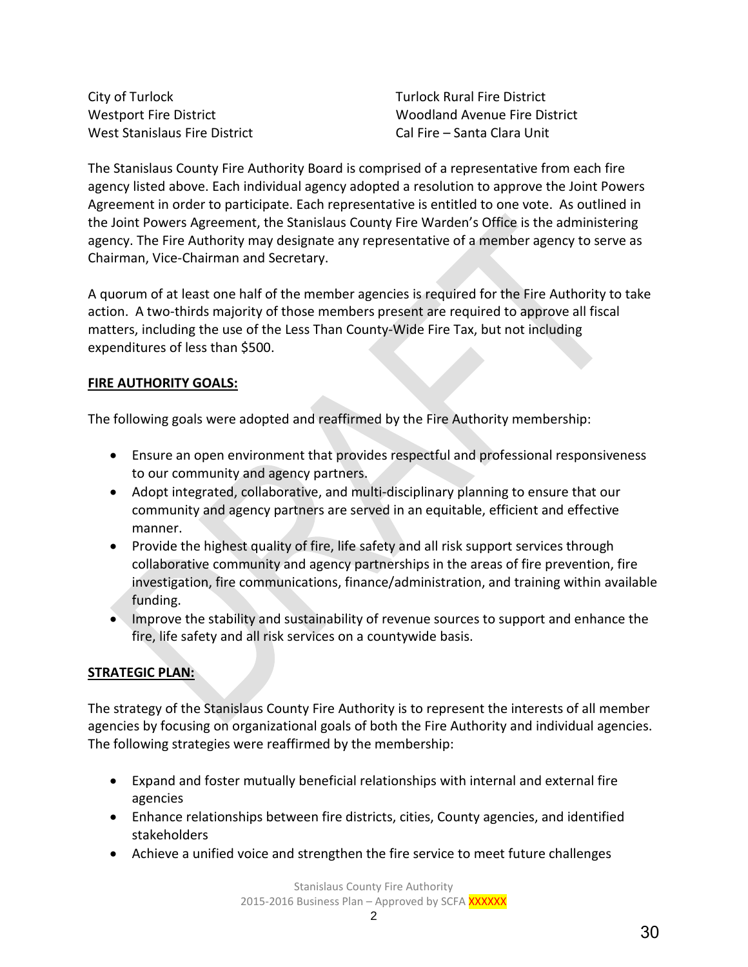City of Turlock Turlock Rural Fire District West Stanislaus Fire District Cal Fire – Santa Clara Unit

Westport Fire District Woodland Avenue Fire District

The Stanislaus County Fire Authority Board is comprised of a representative from each fire agency listed above. Each individual agency adopted a resolution to approve the Joint Powers Agreement in order to participate. Each representative is entitled to one vote. As outlined in the Joint Powers Agreement, the Stanislaus County Fire Warden's Office is the administering agency. The Fire Authority may designate any representative of a member agency to serve as Chairman, Vice-Chairman and Secretary.

A quorum of at least one half of the member agencies is required for the Fire Authority to take action. A two-thirds majority of those members present are required to approve all fiscal matters, including the use of the Less Than County-Wide Fire Tax, but not including expenditures of less than \$500.

## **FIRE AUTHORITY GOALS:**

The following goals were adopted and reaffirmed by the Fire Authority membership:

- Ensure an open environment that provides respectful and professional responsiveness to our community and agency partners.
- Adopt integrated, collaborative, and multi-disciplinary planning to ensure that our community and agency partners are served in an equitable, efficient and effective manner.
- Provide the highest quality of fire, life safety and all risk support services through collaborative community and agency partnerships in the areas of fire prevention, fire investigation, fire communications, finance/administration, and training within available funding.
- Improve the stability and sustainability of revenue sources to support and enhance the fire, life safety and all risk services on a countywide basis.

## **STRATEGIC PLAN:**

The strategy of the Stanislaus County Fire Authority is to represent the interests of all member agencies by focusing on organizational goals of both the Fire Authority and individual agencies. The following strategies were reaffirmed by the membership:

- Expand and foster mutually beneficial relationships with internal and external fire agencies
- Enhance relationships between fire districts, cities, County agencies, and identified stakeholders
- Achieve a unified voice and strengthen the fire service to meet future challenges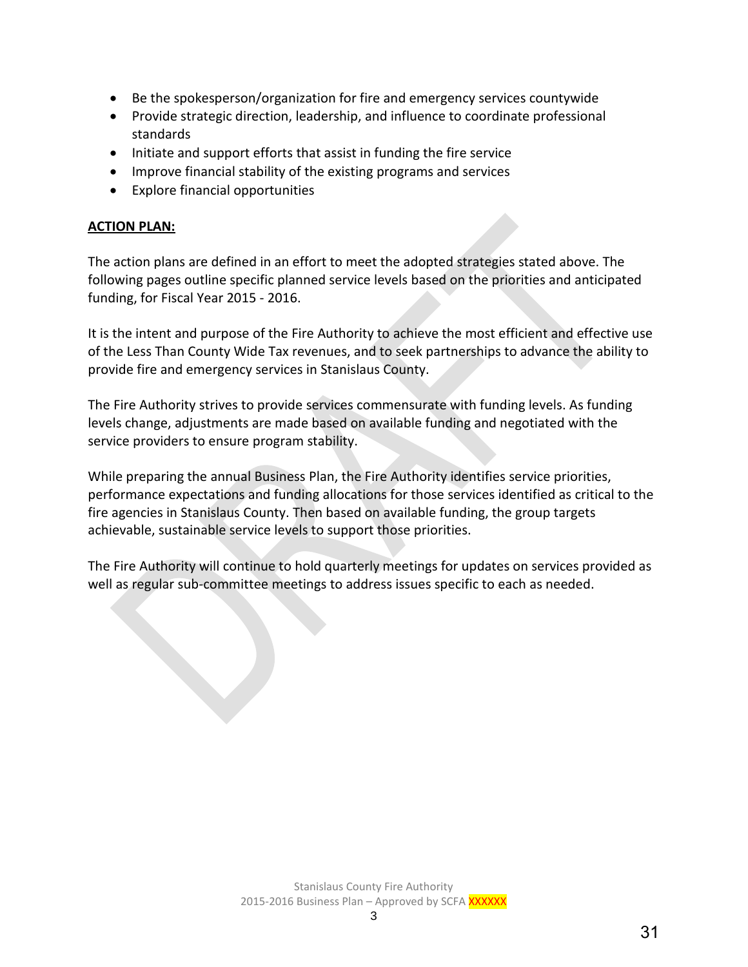- Be the spokesperson/organization for fire and emergency services countywide
- Provide strategic direction, leadership, and influence to coordinate professional standards
- Initiate and support efforts that assist in funding the fire service
- Improve financial stability of the existing programs and services
- Explore financial opportunities

## **ACTION PLAN:**

The action plans are defined in an effort to meet the adopted strategies stated above. The following pages outline specific planned service levels based on the priorities and anticipated funding, for Fiscal Year 2015 - 2016.

It is the intent and purpose of the Fire Authority to achieve the most efficient and effective use of the Less Than County Wide Tax revenues, and to seek partnerships to advance the ability to provide fire and emergency services in Stanislaus County.

The Fire Authority strives to provide services commensurate with funding levels. As funding levels change, adjustments are made based on available funding and negotiated with the service providers to ensure program stability.

While preparing the annual Business Plan, the Fire Authority identifies service priorities, performance expectations and funding allocations for those services identified as critical to the fire agencies in Stanislaus County. Then based on available funding, the group targets achievable, sustainable service levels to support those priorities.

The Fire Authority will continue to hold quarterly meetings for updates on services provided as well as regular sub-committee meetings to address issues specific to each as needed.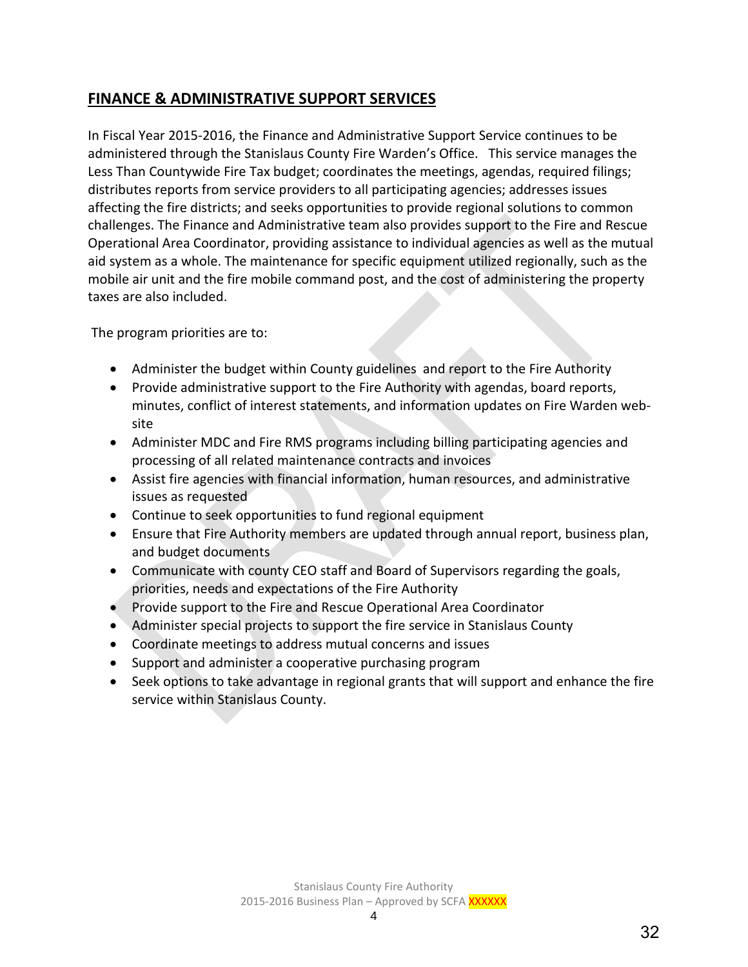# **FINANCE & ADMINISTRATIVE SUPPORT SERVICES**

In Fiscal Year 2015-2016, the Finance and Administrative Support Service continues to be administered through the Stanislaus County Fire Warden's Office. This service manages the Less Than Countywide Fire Tax budget; coordinates the meetings, agendas, required filings; distributes reports from service providers to all participating agencies; addresses issues affecting the fire districts; and seeks opportunities to provide regional solutions to common challenges. The Finance and Administrative team also provides support to the Fire and Rescue Operational Area Coordinator, providing assistance to individual agencies as well as the mutual aid system as a whole. The maintenance for specific equipment utilized regionally, such as the mobile air unit and the fire mobile command post, and the cost of administering the property taxes are also included.

The program priorities are to:

- Administer the budget within County guidelines and report to the Fire Authority
- Provide administrative support to the Fire Authority with agendas, board reports, minutes, conflict of interest statements, and information updates on Fire Warden website
- Administer MDC and Fire RMS programs including billing participating agencies and processing of all related maintenance contracts and invoices
- Assist fire agencies with financial information, human resources, and administrative issues as requested
- Continue to seek opportunities to fund regional equipment
- Ensure that Fire Authority members are updated through annual report, business plan, and budget documents
- Communicate with county CEO staff and Board of Supervisors regarding the goals, priorities, needs and expectations of the Fire Authority
- Provide support to the Fire and Rescue Operational Area Coordinator
- Administer special projects to support the fire service in Stanislaus County
- Coordinate meetings to address mutual concerns and issues
- Support and administer a cooperative purchasing program
- Seek options to take advantage in regional grants that will support and enhance the fire service within Stanislaus County.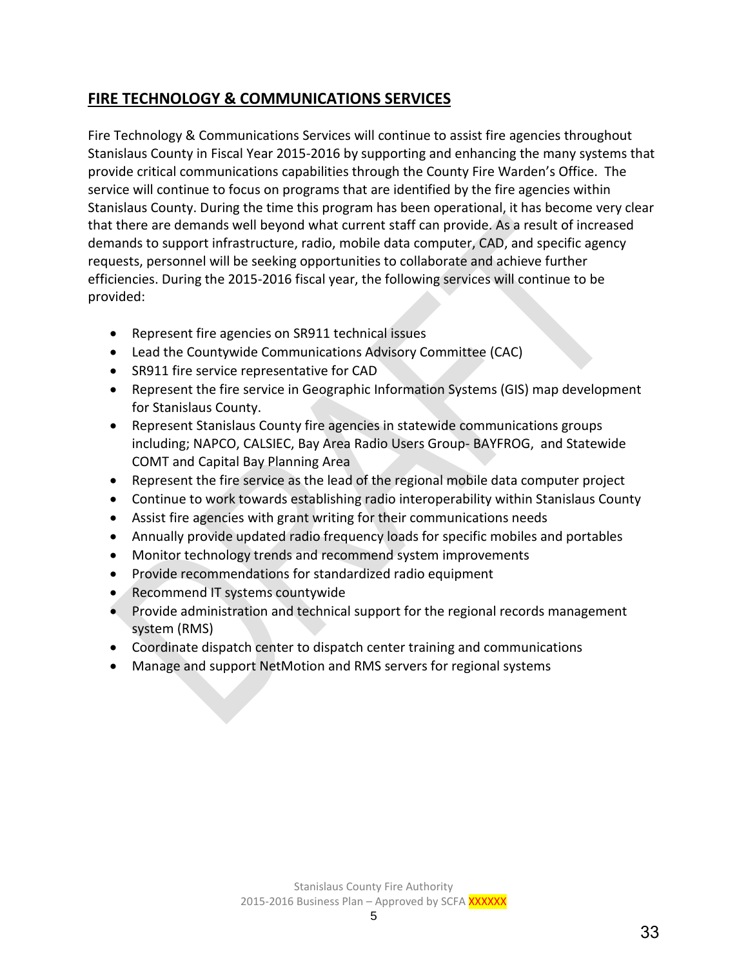# **FIRE TECHNOLOGY & COMMUNICATIONS SERVICES**

Fire Technology & Communications Services will continue to assist fire agencies throughout Stanislaus County in Fiscal Year 2015-2016 by supporting and enhancing the many systems that provide critical communications capabilities through the County Fire Warden's Office. The service will continue to focus on programs that are identified by the fire agencies within Stanislaus County. During the time this program has been operational, it has become very clear that there are demands well beyond what current staff can provide. As a result of increased demands to support infrastructure, radio, mobile data computer, CAD, and specific agency requests, personnel will be seeking opportunities to collaborate and achieve further efficiencies. During the 2015-2016 fiscal year, the following services will continue to be provided:

- Represent fire agencies on SR911 technical issues
- Lead the Countywide Communications Advisory Committee (CAC)
- SR911 fire service representative for CAD
- Represent the fire service in Geographic Information Systems (GIS) map development for Stanislaus County.
- Represent Stanislaus County fire agencies in statewide communications groups including; NAPCO, CALSIEC, Bay Area Radio Users Group- BAYFROG, and Statewide COMT and Capital Bay Planning Area
- Represent the fire service as the lead of the regional mobile data computer project
- Continue to work towards establishing radio interoperability within Stanislaus County
- Assist fire agencies with grant writing for their communications needs
- Annually provide updated radio frequency loads for specific mobiles and portables
- Monitor technology trends and recommend system improvements
- Provide recommendations for standardized radio equipment
- Recommend IT systems countywide
- Provide administration and technical support for the regional records management system (RMS)
- Coordinate dispatch center to dispatch center training and communications
- Manage and support NetMotion and RMS servers for regional systems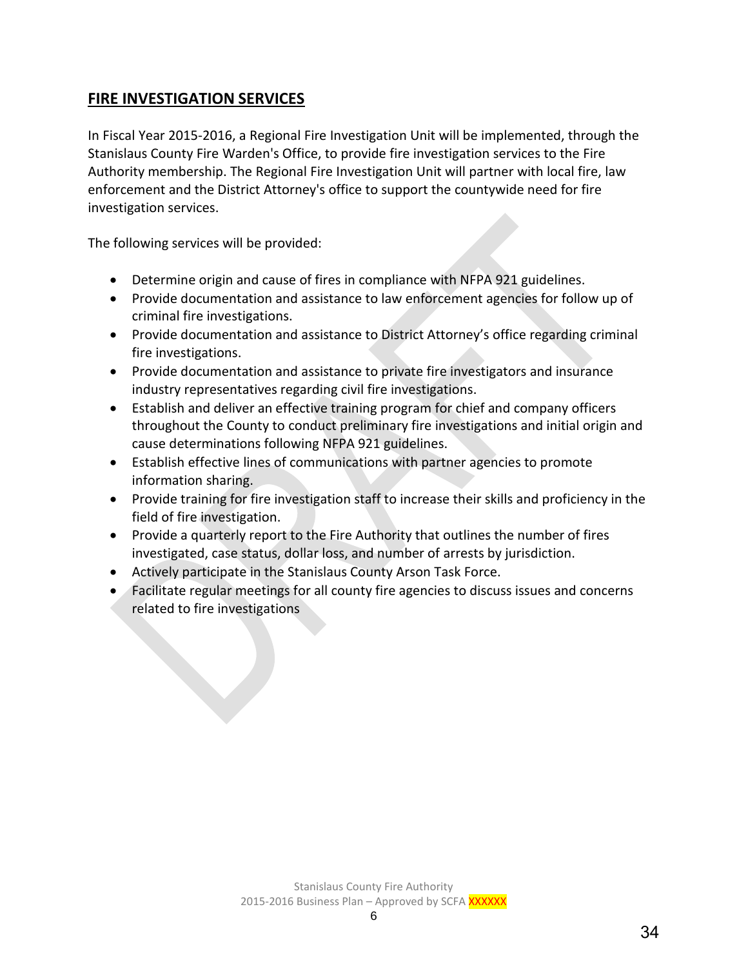# **FIRE INVESTIGATION SERVICES**

In Fiscal Year 2015-2016, a Regional Fire Investigation Unit will be implemented, through the Stanislaus County Fire Warden's Office, to provide fire investigation services to the Fire Authority membership. The Regional Fire Investigation Unit will partner with local fire, law enforcement and the District Attorney's office to support the countywide need for fire investigation services.

The following services will be provided:

- Determine origin and cause of fires in compliance with NFPA 921 guidelines.
- Provide documentation and assistance to law enforcement agencies for follow up of criminal fire investigations.
- Provide documentation and assistance to District Attorney's office regarding criminal fire investigations.
- Provide documentation and assistance to private fire investigators and insurance industry representatives regarding civil fire investigations.
- Establish and deliver an effective training program for chief and company officers throughout the County to conduct preliminary fire investigations and initial origin and cause determinations following NFPA 921 guidelines.
- Establish effective lines of communications with partner agencies to promote information sharing.
- Provide training for fire investigation staff to increase their skills and proficiency in the field of fire investigation.
- Provide a quarterly report to the Fire Authority that outlines the number of fires investigated, case status, dollar loss, and number of arrests by jurisdiction.
- Actively participate in the Stanislaus County Arson Task Force.
- Facilitate regular meetings for all county fire agencies to discuss issues and concerns related to fire investigations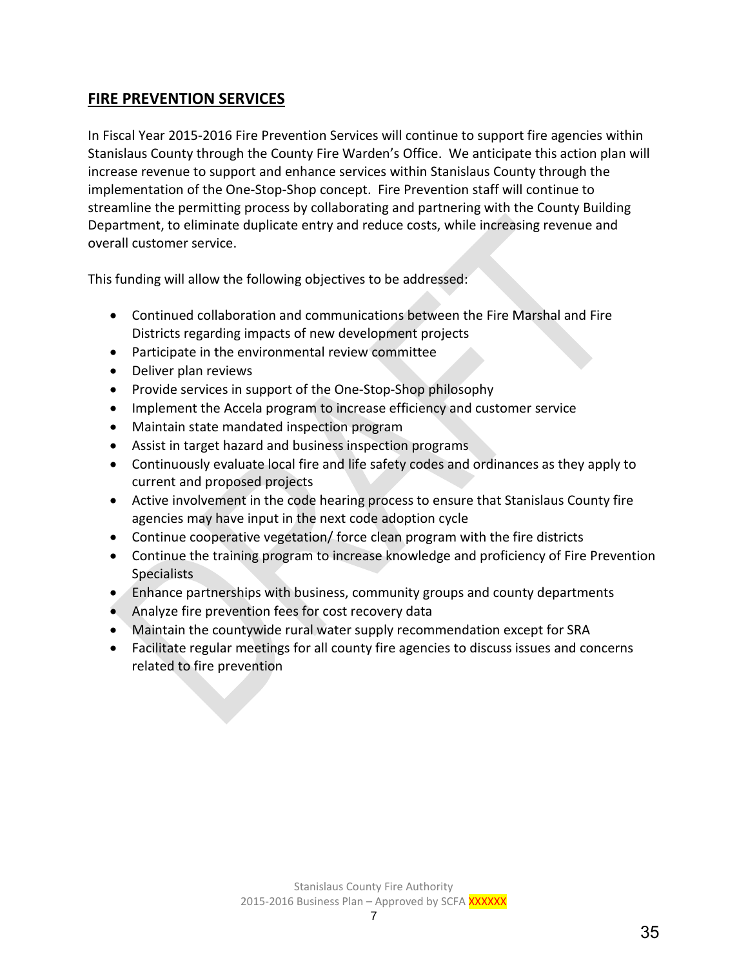## **FIRE PREVENTION SERVICES**

In Fiscal Year 2015-2016 Fire Prevention Services will continue to support fire agencies within Stanislaus County through the County Fire Warden's Office. We anticipate this action plan will increase revenue to support and enhance services within Stanislaus County through the implementation of the One-Stop-Shop concept. Fire Prevention staff will continue to streamline the permitting process by collaborating and partnering with the County Building Department, to eliminate duplicate entry and reduce costs, while increasing revenue and overall customer service.

This funding will allow the following objectives to be addressed:

- Continued collaboration and communications between the Fire Marshal and Fire Districts regarding impacts of new development projects
- Participate in the environmental review committee
- Deliver plan reviews
- Provide services in support of the One-Stop-Shop philosophy
- Implement the Accela program to increase efficiency and customer service
- Maintain state mandated inspection program
- Assist in target hazard and business inspection programs
- Continuously evaluate local fire and life safety codes and ordinances as they apply to current and proposed projects
- Active involvement in the code hearing process to ensure that Stanislaus County fire agencies may have input in the next code adoption cycle
- Continue cooperative vegetation/ force clean program with the fire districts
- Continue the training program to increase knowledge and proficiency of Fire Prevention **Specialists**
- Enhance partnerships with business, community groups and county departments
- Analyze fire prevention fees for cost recovery data
- Maintain the countywide rural water supply recommendation except for SRA
- Facilitate regular meetings for all county fire agencies to discuss issues and concerns related to fire prevention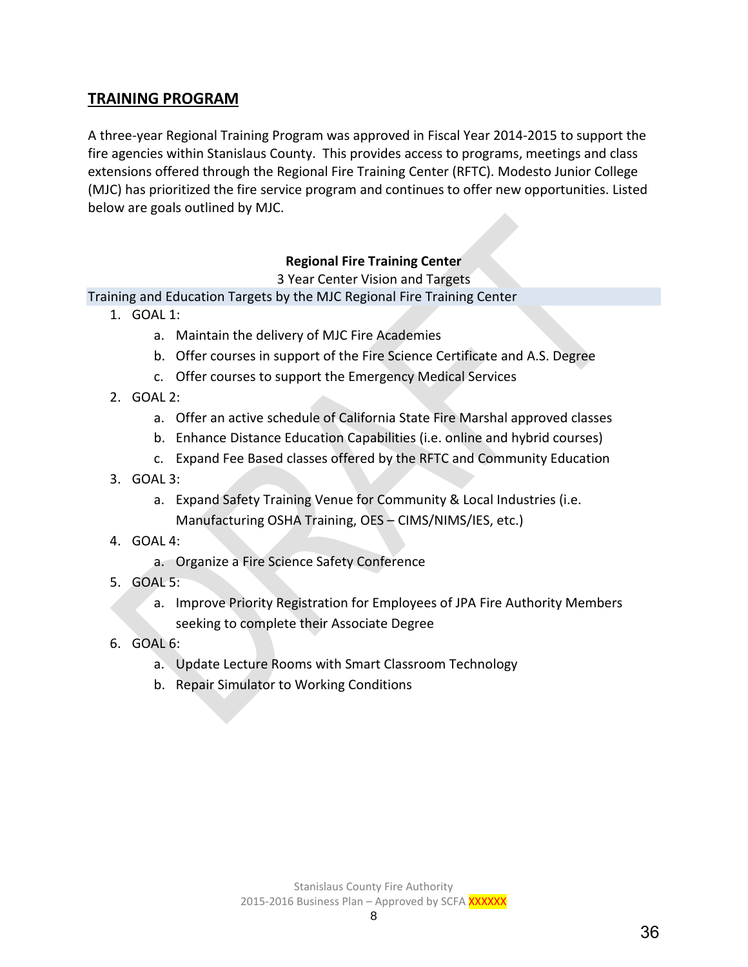## **TRAINING PROGRAM**

A three-year Regional Training Program was approved in Fiscal Year 2014-2015 to support the fire agencies within Stanislaus County. This provides access to programs, meetings and class extensions offered through the Regional Fire Training Center (RFTC). Modesto Junior College (MJC) has prioritized the fire service program and continues to offer new opportunities. Listed below are goals outlined by MJC.

## **Regional Fire Training Center**

3 Year Center Vision and Targets

Training and Education Targets by the MJC Regional Fire Training Center

- 1. GOAL 1:
	- a. Maintain the delivery of MJC Fire Academies
	- b. Offer courses in support of the Fire Science Certificate and A.S. Degree
	- c. Offer courses to support the Emergency Medical Services
- 2. GOAL 2:
	- a. Offer an active schedule of California State Fire Marshal approved classes
	- b. Enhance Distance Education Capabilities (i.e. online and hybrid courses)
	- c. Expand Fee Based classes offered by the RFTC and Community Education
- 3. GOAL 3:
	- a. Expand Safety Training Venue for Community & Local Industries (i.e. Manufacturing OSHA Training, OES – CIMS/NIMS/IES, etc.)
- 4. GOAL 4:
	- a. Organize a Fire Science Safety Conference
- 5. GOAL 5:
	- a. Improve Priority Registration for Employees of JPA Fire Authority Members seeking to complete their Associate Degree
- 6. GOAL 6:
	- a. Update Lecture Rooms with Smart Classroom Technology
	- b. Repair Simulator to Working Conditions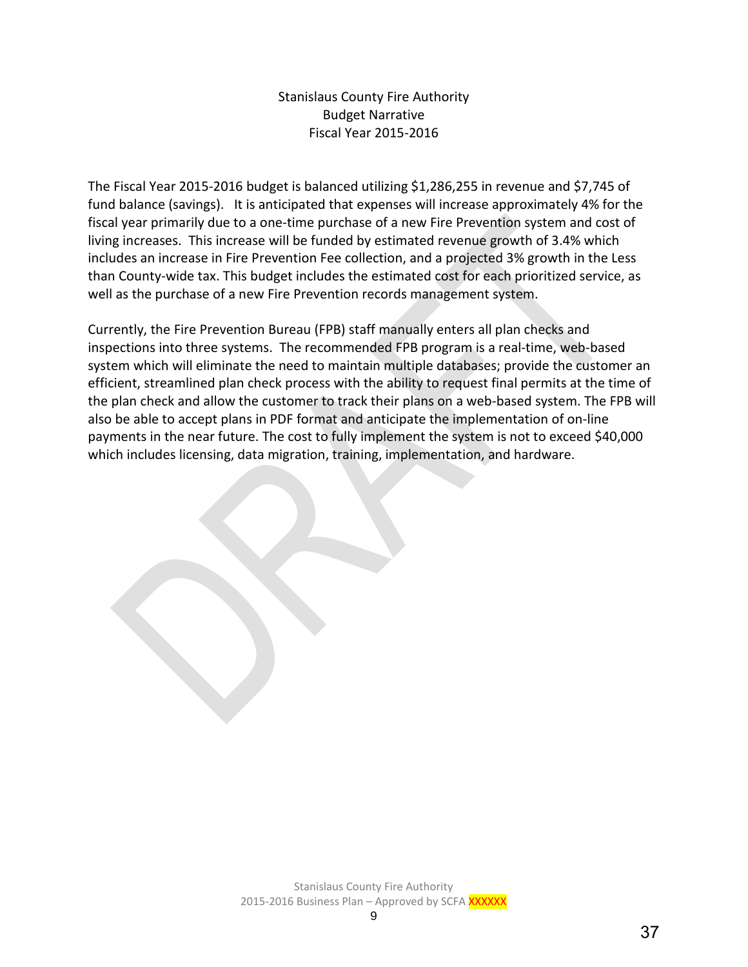## Stanislaus County Fire Authority Budget Narrative Fiscal Year 2015-2016

The Fiscal Year 2015-2016 budget is balanced utilizing \$1,286,255 in revenue and \$7,745 of fund balance (savings). It is anticipated that expenses will increase approximately 4% for the fiscal year primarily due to a one-time purchase of a new Fire Prevention system and cost of living increases. This increase will be funded by estimated revenue growth of 3.4% which includes an increase in Fire Prevention Fee collection, and a projected 3% growth in the Less than County-wide tax. This budget includes the estimated cost for each prioritized service, as well as the purchase of a new Fire Prevention records management system.

Currently, the Fire Prevention Bureau (FPB) staff manually enters all plan checks and inspections into three systems. The recommended FPB program is a real-time, web-based system which will eliminate the need to maintain multiple databases; provide the customer an efficient, streamlined plan check process with the ability to request final permits at the time of the plan check and allow the customer to track their plans on a web-based system. The FPB will also be able to accept plans in PDF format and anticipate the implementation of on-line payments in the near future. The cost to fully implement the system is not to exceed \$40,000 which includes licensing, data migration, training, implementation, and hardware.